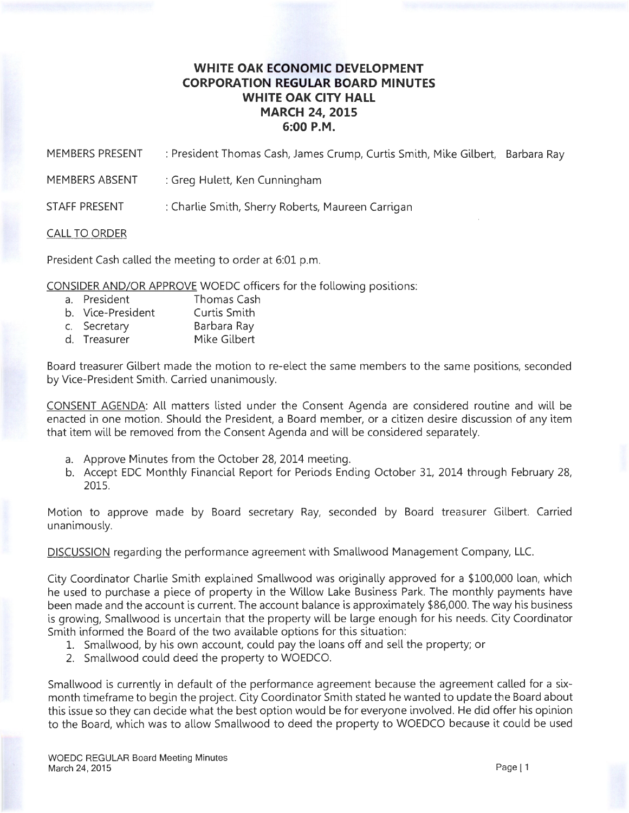## **WHITE OAK ECONOMIC DEVELOPMENT CORPORATION REGULAR BOARD MINUTES WHITE OAK CITY HALL MARCH** 24, **2015 6:00P.M.**

MEMBERS PRESENT : President Thomas Cash, James Crump, Curtis Smith, Mike Gilbert, Barbara Ray

MEMBERS ABSENT : Greg Hulett, Ken Cunningham

STAFF PRESENT : Charlie Smith, Sherry Roberts, Maureen Carrigan

## CALL TO ORDER

President Cash called the meeting to order at 6:01 p.m.

CONSIDER AND/OR APPROVE WOEDC officers for the following positions:

- a. President Thomas Cash
- b. Vice-President Curtis Smith
- c. Secretary Barbara Ray
- d. Treasurer Mike Gilbert

Board treasurer Gilbert made the motion to re-elect the same members to the same positions, seconded by Vice-President Smith. Carried unanimously.

CONSENT AGENDA: All matters listed under the Consent Agenda are considered routine and will be enacted in one motion. Should the President, a Board member, or a citizen desire discussion of any item that item will be removed from the Consent Agenda and will be considered separately.

- a. Approve Minutes from the October 28, 2014 meeting.
- b. Accept EDC Monthly Financial Report for Periods Ending October 31, 2014 through February 28, 2015.

Motion to approve made by Board secretary Ray, seconded by Board treasurer Gilbert. Carried unanimously.

DISCUSSION regarding the performance agreement with Smallwood Management Company, LLC.

City Coordinator Charlie Smith explained Smallwood was originally approved for a \$100,000 loan, which he used to purchase a piece of property in the Willow Lake Business Park. The monthly payments have been made and the account is current. The account balance is approximately \$86,000. The way his business is growing, Smallwood is uncertain that the property will be large enough for his needs. City Coordinator Smith informed the Board of the two available options for this situation:

- 1. Smallwood, by his own account, could pay the loans off and sell the property; or
- 2. Smallwood could deed the property to WOEDCO.

Smallwood is currently in default of the performance agreement because the agreement called for a sixmonth timeframe to begin the project. City Coordinator Smith stated he wanted to update the Board about this issue so they can decide what the best option would be for everyone involved. He did offer his opinion to the Board, which was to allow Smallwood to deed the property to WOEDCO because it could be used